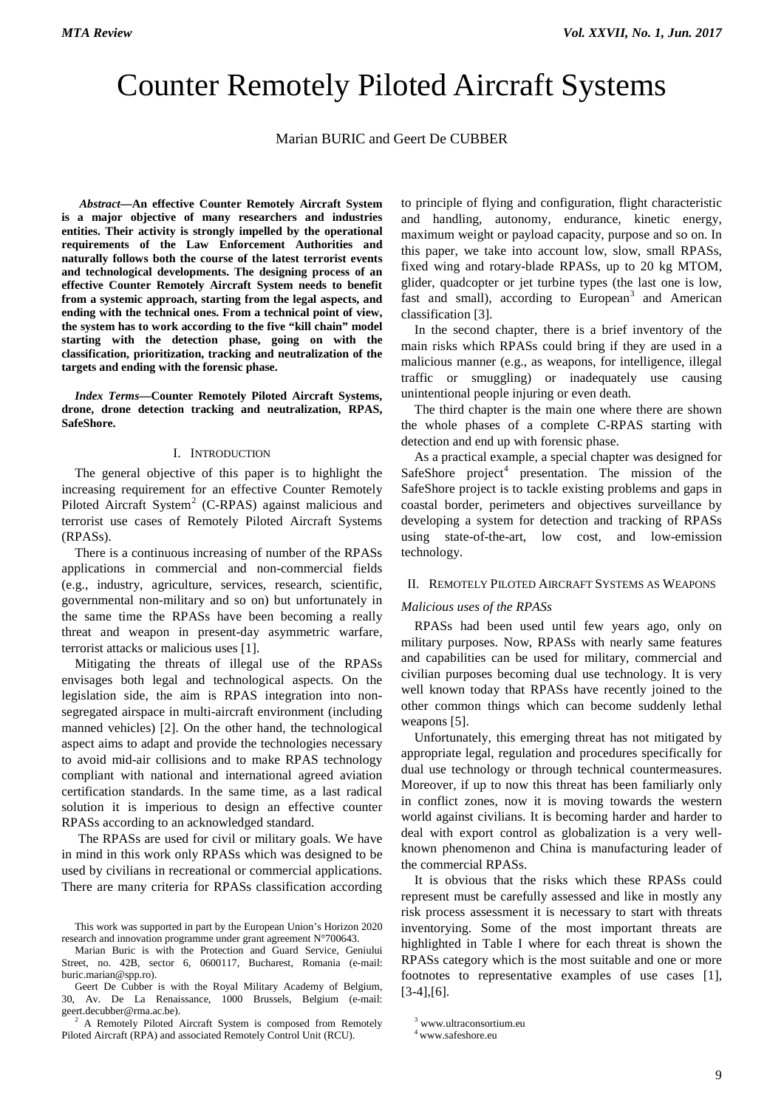# Counter Remotely Piloted Aircraft Systems

Marian BURIC and Geert De CUBBER

*[1](#page-0-0) Abstract***—An effective Counter Remotely Aircraft System is a major objective of many researchers and industries entities. Their activity is strongly impelled by the operational requirements of the Law Enforcement Authorities and naturally follows both the course of the latest terrorist events and technological developments. The designing process of an effective Counter Remotely Aircraft System needs to benefit from a systemic approach, starting from the legal aspects, and ending with the technical ones. From a technical point of view, the system has to work according to the five "kill chain" model starting with the detection phase, going on with the classification, prioritization, tracking and neutralization of the targets and ending with the forensic phase.**

*Index Terms***—Counter Remotely Piloted Aircraft Systems, drone, drone detection tracking and neutralization, RPAS, SafeShore.**

#### I. INTRODUCTION

The general objective of this paper is to highlight the increasing requirement for an effective Counter Remotely Piloted Aircraft System<sup>[2](#page-0-1)</sup> (C-RPAS) against malicious and terrorist use cases of Remotely Piloted Aircraft Systems (RPASs).

There is a continuous increasing of number of the RPASs applications in commercial and non-commercial fields (e.g., industry, agriculture, services, research, scientific, governmental non-military and so on) but unfortunately in the same time the RPASs have been becoming a really threat and weapon in present-day asymmetric warfare, terrorist attacks or malicious uses [1].

Mitigating the threats of illegal use of the RPASs envisages both legal and technological aspects. On the legislation side, the aim is RPAS integration into nonsegregated airspace in multi-aircraft environment (including manned vehicles) [2]. On the other hand, the technological aspect aims to adapt and provide the technologies necessary to avoid mid-air collisions and to make RPAS technology compliant with national and international agreed aviation certification standards. In the same time, as a last radical solution it is imperious to design an effective counter RPASs according to an acknowledged standard.

The RPASs are used for civil or military goals. We have in mind in this work only RPASs which was designed to be used by civilians in recreational or commercial applications. There are many criteria for RPASs classification according

to principle of flying and configuration, flight characteristic and handling, autonomy, endurance, kinetic energy, maximum weight or payload capacity, purpose and so on. In this paper, we take into account low, slow, small RPASs, fixed wing and rotary-blade RPASs, up to 20 kg MTOM, glider, quadcopter or jet turbine types (the last one is low, fast and small), according to European<sup>[3](#page-0-1)</sup> and American classification [3].

In the second chapter, there is a brief inventory of the main risks which RPASs could bring if they are used in a malicious manner (e.g., as weapons, for intelligence, illegal traffic or smuggling) or inadequately use causing unintentional people injuring or even death.

The third chapter is the main one where there are shown the whole phases of a complete C-RPAS starting with detection and end up with forensic phase.

As a practical example, a special chapter was designed for SafeShore  $project^4$  $project^4$  presentation. The mission of the SafeShore project is to tackle existing problems and gaps in coastal border, perimeters and objectives surveillance by developing a system for detection and tracking of RPASs using state-of-the-art, low cost, and low-emission technology.

### II. REMOTELY PILOTED AIRCRAFT SYSTEMS AS WEAPONS

#### *Malicious uses of the RPASs*

RPASs had been used until few years ago, only on military purposes. Now, RPASs with nearly same features and capabilities can be used for military, commercial and civilian purposes becoming dual use technology. It is very well known today that RPASs have recently joined to the other common things which can become suddenly lethal weapons [5].

Unfortunately, this emerging threat has not mitigated by appropriate legal, regulation and procedures specifically for dual use technology or through technical countermeasures. Moreover, if up to now this threat has been familiarly only in conflict zones, now it is moving towards the western world against civilians. It is becoming harder and harder to deal with export control as globalization is a very wellknown phenomenon and China is manufacturing leader of the commercial RPASs.

It is obvious that the risks which these RPASs could represent must be carefully assessed and like in mostly any risk process assessment it is necessary to start with threats inventorying. Some of the most important threats are highlighted in Table I where for each threat is shown the RPASs category which is the most suitable and one or more footnotes to representative examples of use cases [1],  $[3-4]$ , $[6]$ .

<span id="page-0-0"></span>This work was supported in part by the European Union's Horizon 2020 research and innovation programme under grant agreement N°700643.

Marian Buric is with the Protection and Guard Service, Geniului Street, no. 42B, sector 6, 0600117, Bucharest, Romania (e-mail: buric.marian@spp.ro).

Geert De Cubber is with the Royal Military Academy of Belgium, 30, Av. De La Renaissance, 1000 Brussels, Belgium (e-mail:

<span id="page-0-2"></span><span id="page-0-1"></span> $2$  A Remotely Piloted Aircraft System is composed from Remotely Piloted Aircraft (RPA) and associated Remotely Control Unit (RCU).

<sup>3</sup> www.ultraconsortium.eu

 $^4$ www.safeshore.eu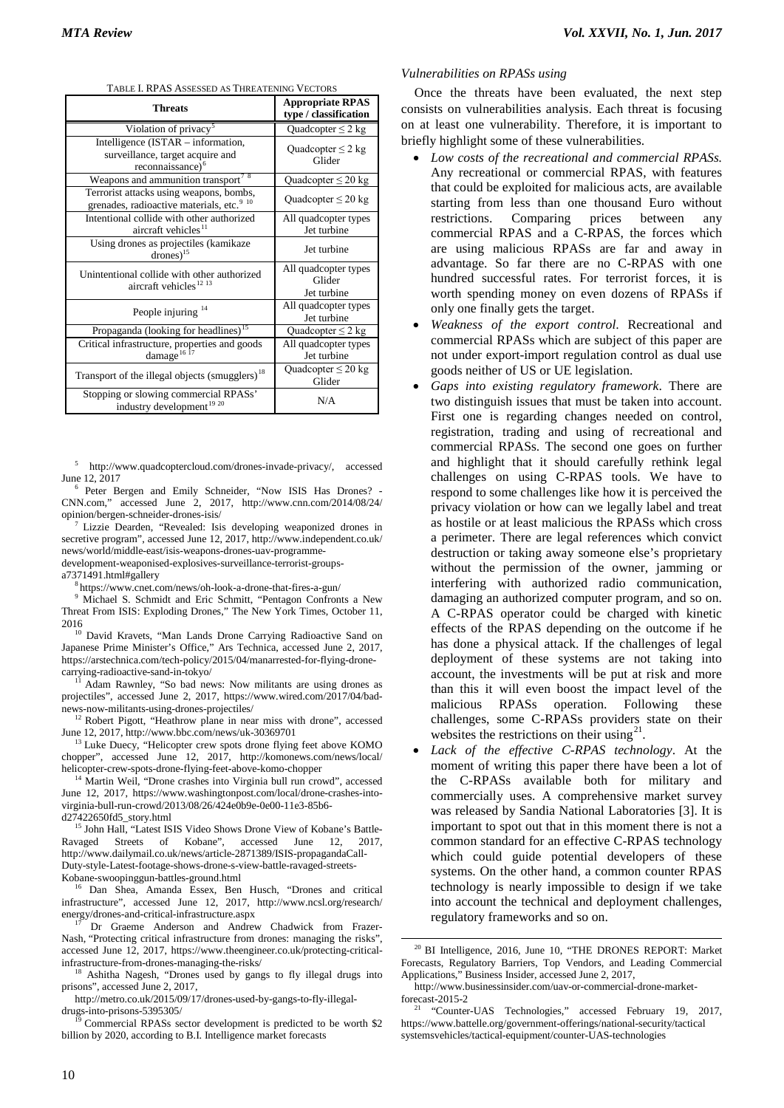| <b>Threats</b>                                                                                         | <b>Appropriate RPAS</b><br>type / classification |  |  |  |
|--------------------------------------------------------------------------------------------------------|--------------------------------------------------|--|--|--|
| Violation of privacy <sup>5</sup>                                                                      | Quadcopter $\leq$ 2 kg                           |  |  |  |
| Intelligence (ISTAR – information,<br>surveillance, target acquire and<br>reconnaissance) <sup>6</sup> | Quadcopter $\leq$ 2 kg<br>Glider                 |  |  |  |
| Weapons and ammunition transport <sup>78</sup>                                                         | Quadcopter $\leq 20$ kg                          |  |  |  |
| Terrorist attacks using weapons, bombs,<br>grenades, radioactive materials, etc. <sup>9 10</sup>       | Quadcopter $\leq 20$ kg                          |  |  |  |
| Intentional collide with other authorized<br>aircraft vehicles <sup>11</sup>                           | All quadcopter types<br>Jet turbine              |  |  |  |
| Using drones as projectiles (kamikaze<br>$drones)^{15}$                                                | Jet turbine                                      |  |  |  |
| Unintentional collide with other authorized<br>aircraft vehicles <sup>12</sup> <sup>13</sup>           | All quadcopter types<br>Glider<br>Jet turbine    |  |  |  |
| People injuring <sup>14</sup>                                                                          | All quadcopter types<br>Jet turbine              |  |  |  |
| Propaganda (looking for headlines) <sup>15</sup>                                                       | Quadcopter $\leq$ 2 kg                           |  |  |  |
| Critical infrastructure, properties and goods<br>damage <sup>16</sup> <sup>17</sup>                    | All quadcopter types<br>Jet turbine              |  |  |  |
| Transport of the illegal objects (smugglers) <sup>18</sup>                                             | Quadcopter $\leq 20$ kg<br>Glider                |  |  |  |
| Stopping or slowing commercial RPASs'<br>industry development <sup>19</sup> <sup>20</sup>              | N/A                                              |  |  |  |

TABLE I. RPAS ASSESSED AS THREATENING VECTORS

<sup>5</sup> [http://www.quadcoptercloud.com/drones-invade-privacy/,](http://www.quadcoptercloud.com/drones-invade-privacy/) accessed

<span id="page-1-1"></span><span id="page-1-0"></span>June 12, 2017<br>
<sup>6</sup> Peter Bergen and Emily Schneider, "Now ISIS Has Drones? -CNN.com," accessed June 2, 2017, http://www.cnn.com/2014/08/24/ opinion/bergen-schneider-drones-isis/

<span id="page-1-2"></span>[Lizzie Dearden,](http://www.independent.co.uk/author/lizzie-dearden) "Revealed: Isis developing weaponized drones in secretive program", accessed June 12, 2017, http://www.independent.co.uk/ news/world/middle-east/isis-weapons-drones-uav-programmedevelopment-weaponised-explosives-surveillance-terrorist-groups-

a7371491.html#gallery<br><sup>8</sup> <https://www.cnet.com/news/oh-look-a-drone-that-fires-a-gun/>

<span id="page-1-4"></span><span id="page-1-3"></span><sup>9</sup> Michael S. Schmidt and Eric Schmitt, "Pentagon Confronts a New Threat From ISIS: Exploding Drones," The New York Times, October 11,

<span id="page-1-5"></span><sup>10</sup> David Kravets, "Man Lands Drone Carrying Radioactive Sand on Japanese Prime Minister's Office," Ars Technica, accessed June 2, 2017, https://arstechnica.com/tech-policy/2015/04/manarrested-for-flying-drone-<br>carrying-radioactive-sand-in-tokyo/<br> $\frac{11}{2}$  Adam Bourglay (i.e. 1)

<span id="page-1-6"></span>Adam Rawnley, "So bad news: Now militants are using drones as projectiles", accessed June 2, 2017, [https://www.wired.com/2017/04/bad](https://www.wired.com/2017/04/bad-news-now-militants-using-drones-projectiles/)[news-now-militants-using-drones-projectiles/](https://www.wired.com/2017/04/bad-news-now-militants-using-drones-projectiles/) <sup>12</sup> Robert Pigott, "Heathrow plane in near miss with drone", accessed

<span id="page-1-7"></span>June 12, 2017[, http://www.bbc.com/news/uk-30369701](http://www.bbc.com/news/uk-30369701)

<span id="page-1-8"></span> $13$  Luke Duecy, "Helicopter crew spots drone flying feet above KOMO chopper", accessed June 12, 2017, http://komonews.com/news/local/ helicopter-crew-spots-drone-flying-feet-above-komo-chopper

<span id="page-1-9"></span><sup>14</sup> Martin Weil, "Drone crashes into Virginia bull run crowd", accessed June 12, 2017, [https://www.washingtonpost.com/local/drone-crashes-into](https://www.washingtonpost.com/local/drone-crashes-into-virginia-bull-run-crowd/2013/08/26/424e0b9e-0e00-11e3-85b6-d27422650fd5_story.html)[virginia-bull-run-crowd/2013/08/26/424e0b9e-0e00-11e3-85b6-](https://www.washingtonpost.com/local/drone-crashes-into-virginia-bull-run-crowd/2013/08/26/424e0b9e-0e00-11e3-85b6-d27422650fd5_story.html)

<span id="page-1-10"></span><sup>15</sup> John Hall, "Latest ISIS Video Shows Drone View of Kobane's Battle-Ravaged Streets of Kobane", accessed June 12, 2017, [http://www.dailymail.co.uk/news/article-2871389/ISIS-propagandaCall-](http://www.dailymail.co.uk/news/article-2871389/ISIS-propagandaCall-Duty-style-Latest-footage-shows-drone-s-view-battle-ravaged-streets-Kobane-swoopinggun-battles-ground.html)[Duty-style-Latest-footage-shows-drone-s-view-battle-ravaged-streets-](http://www.dailymail.co.uk/news/article-2871389/ISIS-propagandaCall-Duty-style-Latest-footage-shows-drone-s-view-battle-ravaged-streets-Kobane-swoopinggun-battles-ground.html)[Kobane-swoopinggun-battles-ground.html](http://www.dailymail.co.uk/news/article-2871389/ISIS-propagandaCall-Duty-style-Latest-footage-shows-drone-s-view-battle-ravaged-streets-Kobane-swoopinggun-battles-ground.html)

<span id="page-1-11"></span><sup>16</sup> Dan Shea, Amanda Essex, Ben Husch, "Drones and critical infrastructure", accessed June 12, 2017, http://www.ncsl.org/research/ energy/drones-and-critical-infrastructure.aspx

<span id="page-1-15"></span><span id="page-1-12"></span>Dr Graeme Anderson and Andrew Chadwick from Frazer-Nash, "Protecting critical infrastructure from drones: managing the risks", accessed June 12, 2017, [https://www.theengineer.co.uk/protecting-critical](https://www.theengineer.co.uk/protecting-critical-infrastructure-from-drones-managing-the-risks/)[infrastructure-from-drones-managing-the-risks/](https://www.theengineer.co.uk/protecting-critical-infrastructure-from-drones-managing-the-risks/) <sup>18</sup> Ashitha Nagesh, "Drones used by gangs to fly illegal drugs into

<span id="page-1-13"></span>prisons", accessed June 2, 2017,

[http://metro.co.uk/2015/09/17/drones-used-by-gangs-to-fly-illegal](http://metro.co.uk/2015/09/17/drones-used-by-gangs-to-fly-illegal-drugs-into-prisons-5395305/)[drugs-into-prisons-5395305/](http://metro.co.uk/2015/09/17/drones-used-by-gangs-to-fly-illegal-drugs-into-prisons-5395305/)

<span id="page-1-16"></span><span id="page-1-14"></span><sup>2</sup> Commercial RPASs sector development is predicted to be worth \$2 billion by 2020, according to B.I. Intelligence market forecasts

#### *Vulnerabilities on RPASs using*

Once the threats have been evaluated, the next step consists on vulnerabilities analysis. Each threat is focusing on at least one vulnerability. Therefore, it is important to briefly highlight some of these vulnerabilities.

- *Low costs of the recreational and commercial RPASs.* Any recreational or commercial RPAS, with features that could be exploited for malicious acts, are available starting from less than one thousand Euro without restrictions. Comparing prices between any commercial RPAS and a C-RPAS, the forces which are using malicious RPASs are far and away in advantage. So far there are no C-RPAS with one hundred successful rates. For terrorist forces, it is worth spending money on even dozens of RPASs if only one finally gets the target.
- *Weakness of the export control*. Recreational and commercial RPASs which are subject of this paper are not under export-import regulation control as dual use goods neither of US or UE legislation.
- *Gaps into existing regulatory framework*. There are two distinguish issues that must be taken into account. First one is regarding changes needed on control, registration, trading and using of recreational and commercial RPASs. The second one goes on further and highlight that it should carefully rethink legal challenges on using C-RPAS tools. We have to respond to some challenges like how it is perceived the privacy violation or how can we legally label and treat as hostile or at least malicious the RPASs which cross a perimeter. There are legal references which convict destruction or taking away someone else's proprietary without the permission of the owner, jamming or interfering with authorized radio communication, damaging an authorized computer program, and so on. A C-RPAS operator could be charged with kinetic effects of the RPAS depending on the outcome if he has done a physical attack. If the challenges of legal deployment of these systems are not taking into account, the investments will be put at risk and more than this it will even boost the impact level of the malicious RPASs operation. Following these challenges, some C-RPASs providers state on their websites the restrictions on their using  $2<sup>1</sup>$ .
- Lack of the effective C-RPAS technology. At the moment of writing this paper there have been a lot of the C-RPASs available both for military and commercially uses. A comprehensive market survey was released by Sandia National Laboratories [3]. It is important to spot out that in this moment there is not a common standard for an effective C-RPAS technology which could guide potential developers of these systems. On the other hand, a common counter RPAS technology is nearly impossible to design if we take into account the technical and deployment challenges, regulatory frameworks and so on.

<sup>20</sup> BI Intelligence, 2016, June 10, "THE DRONES REPORT: Market Forecasts, Regulatory Barriers, Top Vendors, and Leading Commercial Applications," Business Insider, accessed June 2, 2017,

[http://www.businessinsider.com/uav-or-commercial-drone-market](http://www.businessinsider.com/uav-or-commercial-drone-market-forecast-2015-2)[forecast-2015-2](http://www.businessinsider.com/uav-or-commercial-drone-market-forecast-2015-2) <sup>21</sup> "Counter-UAS Technologies," accessed February 19, 2017,

[https://www.battelle.org/government-offerings/national-security/tactical](https://www.battelle.org/government-offerings/national-security/tactical%20systemsvehicles/tactical-equipment/counter-UAS-technologies)  [systemsvehicles/tactical-equipment/counter-UAS-technologies](https://www.battelle.org/government-offerings/national-security/tactical%20systemsvehicles/tactical-equipment/counter-UAS-technologies)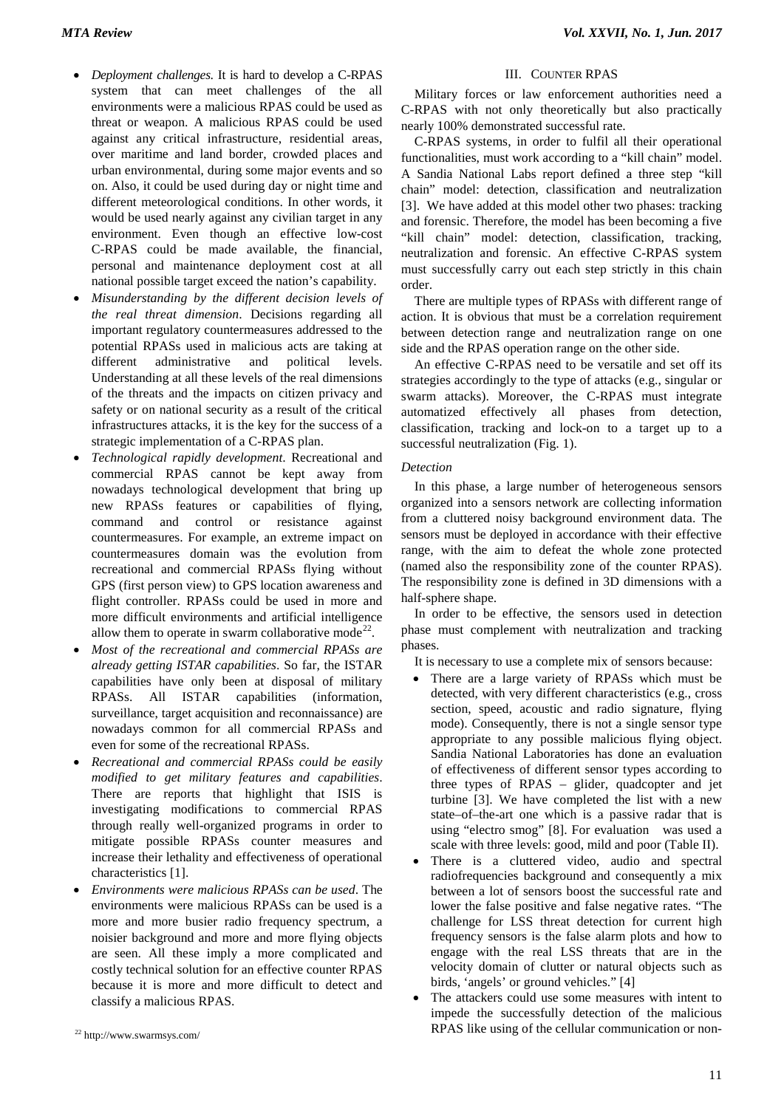- *Deployment challenges*. It is hard to develop a C-RPAS system that can meet challenges of the all environments were a malicious RPAS could be used as threat or weapon. A malicious RPAS could be used against any critical infrastructure, residential areas, over maritime and land border, crowded places and urban environmental, during some major events and so on. Also, it could be used during day or night time and different meteorological conditions. In other words, it would be used nearly against any civilian target in any environment. Even though an effective low-cost C-RPAS could be made available, the financial, personal and maintenance deployment cost at all national possible target exceed the nation's capability.
- *Misunderstanding by the different decision levels of the real threat dimension*. Decisions regarding all important regulatory countermeasures addressed to the potential RPASs used in malicious acts are taking at different administrative and political levels. Understanding at all these levels of the real dimensions of the threats and the impacts on citizen privacy and safety or on national security as a result of the critical infrastructures attacks, it is the key for the success of a strategic implementation of a C-RPAS plan.
- *Technological rapidly development*. Recreational and commercial RPAS cannot be kept away from nowadays technological development that bring up new RPASs features or capabilities of flying, command and control or resistance against countermeasures. For example, an extreme impact on countermeasures domain was the evolution from recreational and commercial RPASs flying without GPS (first person view) to GPS location awareness and flight controller. RPASs could be used in more and more difficult environments and artificial intelligence allow them to operate in swarm collaborative mode<sup>[22](#page-2-0)</sup>.
- *Most of the recreational and commercial RPASs are already getting ISTAR capabilities*. So far, the ISTAR capabilities have only been at disposal of military RPASs. All ISTAR capabilities (information, surveillance, target acquisition and reconnaissance) are nowadays common for all commercial RPASs and even for some of the recreational RPASs.
- *Recreational and commercial RPASs could be easily modified to get military features and capabilities*. There are reports that highlight that ISIS is investigating modifications to commercial RPAS through really well-organized programs in order to mitigate possible RPASs counter measures and increase their lethality and effectiveness of operational characteristics [1].
- *Environments were malicious RPASs can be used*. The environments were malicious RPASs can be used is a more and more busier radio frequency spectrum, a noisier background and more and more flying objects are seen. All these imply a more complicated and costly technical solution for an effective counter RPAS because it is more and more difficult to detect and classify a malicious RPAS.

#### III. COUNTER RPAS

Military forces or law enforcement authorities need a C-RPAS with not only theoretically but also practically nearly 100% demonstrated successful rate.

C-RPAS systems, in order to fulfil all their operational functionalities, must work according to a "kill chain" model. A Sandia National Labs report defined a three step "kill chain" model: detection, classification and neutralization [3]. We have added at this model other two phases: tracking and forensic. Therefore, the model has been becoming a five "kill chain" model: detection, classification, tracking, neutralization and forensic. An effective C-RPAS system must successfully carry out each step strictly in this chain order.

There are multiple types of RPASs with different range of action. It is obvious that must be a correlation requirement between detection range and neutralization range on one side and the RPAS operation range on the other side.

An effective C-RPAS need to be versatile and set off its strategies accordingly to the type of attacks (e.g., singular or swarm attacks). Moreover, the C-RPAS must integrate automatized effectively all phases from detection, classification, tracking and lock-on to a target up to a successful neutralization (Fig. 1).

## *Detection*

In this phase, a large number of heterogeneous sensors organized into a sensors network are collecting information from a cluttered noisy background environment data. The sensors must be deployed in accordance with their effective range, with the aim to defeat the whole zone protected (named also the responsibility zone of the counter RPAS). The responsibility zone is defined in 3D dimensions with a half-sphere shape.

In order to be effective, the sensors used in detection phase must complement with neutralization and tracking phases.

It is necessary to use a complete mix of sensors because:

- There are a large variety of RPASs which must be detected, with very different characteristics (e.g., cross section, speed, acoustic and radio signature, flying mode). Consequently, there is not a single sensor type appropriate to any possible malicious flying object. Sandia National Laboratories has done an evaluation of effectiveness of different sensor types according to three types of RPAS – glider, quadcopter and jet turbine [3]. We have completed the list with a new state–of–the-art one which is a passive radar that is using "electro smog" [8]. For evaluation was used a scale with three levels: good, mild and poor (Table II).
- There is a cluttered video, audio and spectral radiofrequencies background and consequently a mix between a lot of sensors boost the successful rate and lower the false positive and false negative rates. "The challenge for LSS threat detection for current high frequency sensors is the false alarm plots and how to engage with the real LSS threats that are in the velocity domain of clutter or natural objects such as birds, 'angels' or ground vehicles." [4]
- The attackers could use some measures with intent to impede the successfully detection of the malicious RPAS like using of the cellular communication or non-

<span id="page-2-0"></span><sup>22</sup> <http://www.swarmsys.com/>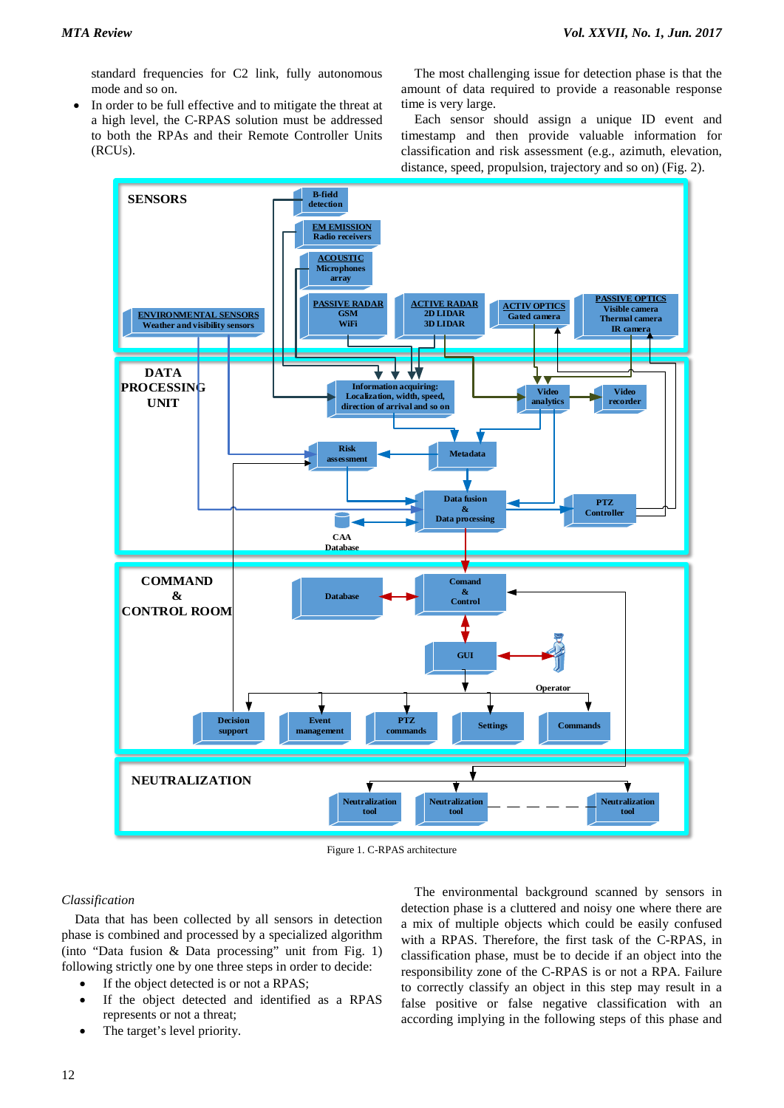standard frequencies for C2 link, fully autonomous mode and so on.

In order to be full effective and to mitigate the threat at a high level, the C-RPAS solution must be addressed to both the RPAs and their Remote Controller Units (RCUs).

The most challenging issue for detection phase is that the amount of data required to provide a reasonable response time is very large.

Each sensor should assign a unique ID event and timestamp and then provide valuable information for classification and risk assessment (e.g., azimuth, elevation, distance, speed, propulsion, trajectory and so on) (Fig. 2).



Figure 1. C-RPAS architecture

## *Classification*

Data that has been collected by all sensors in detection phase is combined and processed by a specialized algorithm (into "Data fusion & Data processing" unit from Fig. 1) following strictly one by one three steps in order to decide:

- If the object detected is or not a RPAS;
- If the object detected and identified as a RPAS represents or not a threat;
- The target's level priority.

The environmental background scanned by sensors in detection phase is a cluttered and noisy one where there are a mix of multiple objects which could be easily confused with a RPAS. Therefore, the first task of the C-RPAS, in classification phase, must be to decide if an object into the responsibility zone of the C-RPAS is or not a RPA. Failure to correctly classify an object in this step may result in a false positive or false negative classification with an according implying in the following steps of this phase and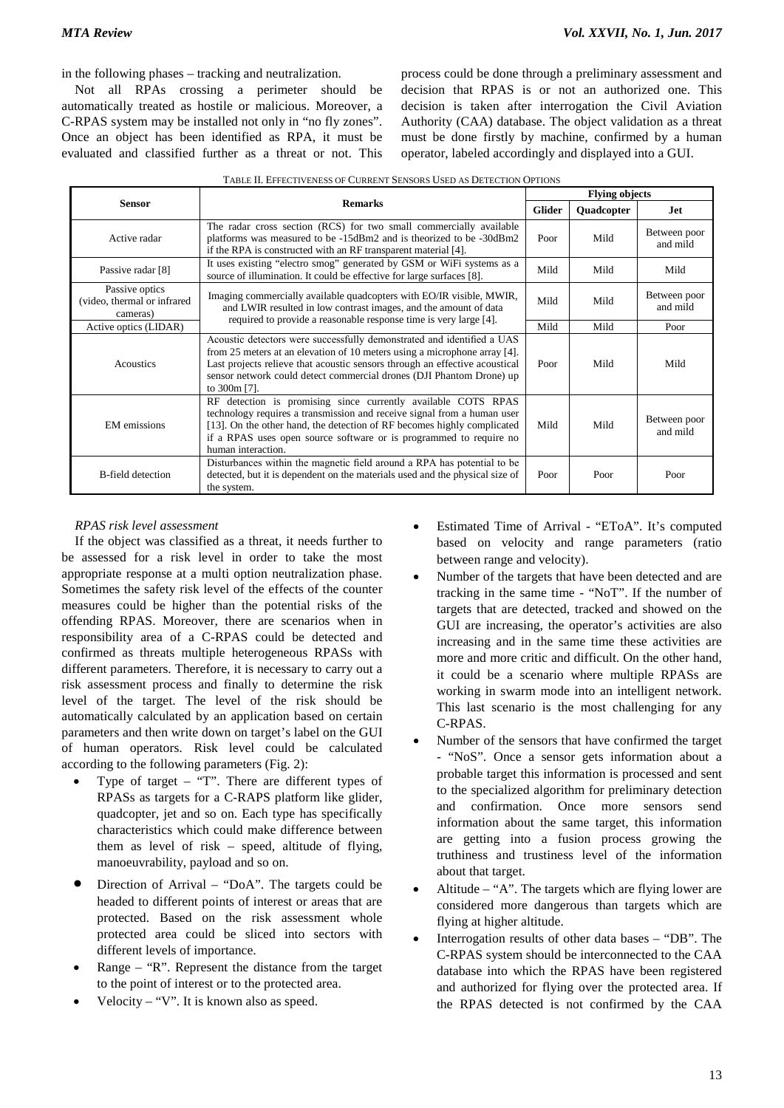in the following phases – tracking and neutralization.

Not all RPAs crossing a perimeter should be automatically treated as hostile or malicious. Moreover, a C-RPAS system may be installed not only in "no fly zones". Once an object has been identified as RPA, it must be evaluated and classified further as a threat or not. This

process could be done through a preliminary assessment and decision that RPAS is or not an authorized one. This decision is taken after interrogation the Civil Aviation Authority (CAA) database. The object validation as a threat must be done firstly by machine, confirmed by a human operator, labeled accordingly and displayed into a GUI.

|                                                           |                                                                                                                                                                                                                                                                                                                            | <b>Flying objects</b> |            |                          |  |
|-----------------------------------------------------------|----------------------------------------------------------------------------------------------------------------------------------------------------------------------------------------------------------------------------------------------------------------------------------------------------------------------------|-----------------------|------------|--------------------------|--|
| <b>Sensor</b>                                             | <b>Remarks</b>                                                                                                                                                                                                                                                                                                             | <b>Glider</b>         | Quadcopter | .Iet                     |  |
| Active radar                                              | The radar cross section (RCS) for two small commercially available<br>platforms was measured to be -15dBm2 and is theorized to be -30dBm2<br>if the RPA is constructed with an RF transparent material [4].                                                                                                                | Poor                  | Mild       | Between poor<br>and mild |  |
| Passive radar [8]                                         | It uses existing "electro smog" generated by GSM or WiFi systems as a<br>source of illumination. It could be effective for large surfaces [8].                                                                                                                                                                             | Mild                  | Mild       | Mild                     |  |
| Passive optics<br>(video, thermal or infrared<br>cameras) | Imaging commercially available quadcopters with EO/IR visible, MWIR,<br>and LWIR resulted in low contrast images, and the amount of data                                                                                                                                                                                   | Mild                  | Mild       | Between poor<br>and mild |  |
| Active optics (LIDAR)                                     | required to provide a reasonable response time is very large [4].                                                                                                                                                                                                                                                          | Mild                  | Mild       | Poor                     |  |
| Acoustics                                                 | Acoustic detectors were successfully demonstrated and identified a UAS<br>from 25 meters at an elevation of 10 meters using a microphone array [4].<br>Last projects relieve that acoustic sensors through an effective acoustical<br>sensor network could detect commercial drones (DJI Phantom Drone) up<br>to 300m [7]. | Poor                  | Mild       | Mild                     |  |
| <b>EM</b> emissions                                       | RF detection is promising since currently available COTS RPAS<br>technology requires a transmission and receive signal from a human user<br>[13]. On the other hand, the detection of RF becomes highly complicated<br>if a RPAS uses open source software or is programmed to require no<br>human interaction.            | Mild                  | Mild       | Between poor<br>and mild |  |
| <b>B-field detection</b>                                  | Disturbances within the magnetic field around a RPA has potential to be<br>detected, but it is dependent on the materials used and the physical size of<br>the system.                                                                                                                                                     | Poor                  | Poor       | Poor                     |  |

# *RPAS risk level assessment*

If the object was classified as a threat, it needs further to be assessed for a risk level in order to take the most appropriate response at a multi option neutralization phase. Sometimes the safety risk level of the effects of the counter measures could be higher than the potential risks of the offending RPAS. Moreover, there are scenarios when in responsibility area of a C-RPAS could be detected and confirmed as threats multiple heterogeneous RPASs with different parameters. Therefore, it is necessary to carry out a risk assessment process and finally to determine the risk level of the target. The level of the risk should be automatically calculated by an application based on certain parameters and then write down on target's label on the GUI of human operators. Risk level could be calculated according to the following parameters (Fig. 2):

- Type of target "T". There are different types of RPASs as targets for a C-RAPS platform like glider, quadcopter, jet and so on. Each type has specifically characteristics which could make difference between them as level of risk – speed, altitude of flying, manoeuvrability, payload and so on.
- Direction of Arrival "DoA". The targets could be headed to different points of interest or areas that are protected. Based on the risk assessment whole protected area could be sliced into sectors with different levels of importance.
- Range "R". Represent the distance from the target to the point of interest or to the protected area.
- Velocity "V". It is known also as speed.
- Estimated Time of Arrival "EToA". It's computed based on velocity and range parameters (ratio between range and velocity).
- Number of the targets that have been detected and are tracking in the same time - "NoT". If the number of targets that are detected, tracked and showed on the GUI are increasing, the operator's activities are also increasing and in the same time these activities are more and more critic and difficult. On the other hand, it could be a scenario where multiple RPASs are working in swarm mode into an intelligent network. This last scenario is the most challenging for any C-RPAS.
- Number of the sensors that have confirmed the target - "NoS". Once a sensor gets information about a probable target this information is processed and sent to the specialized algorithm for preliminary detection and confirmation. Once more sensors send information about the same target, this information are getting into a fusion process growing the truthiness and trustiness level of the information about that target.
- Altitude "A". The targets which are flying lower are considered more dangerous than targets which are flying at higher altitude.
- Interrogation results of other data bases "DB". The C-RPAS system should be interconnected to the CAA database into which the RPAS have been registered and authorized for flying over the protected area. If the RPAS detected is not confirmed by the CAA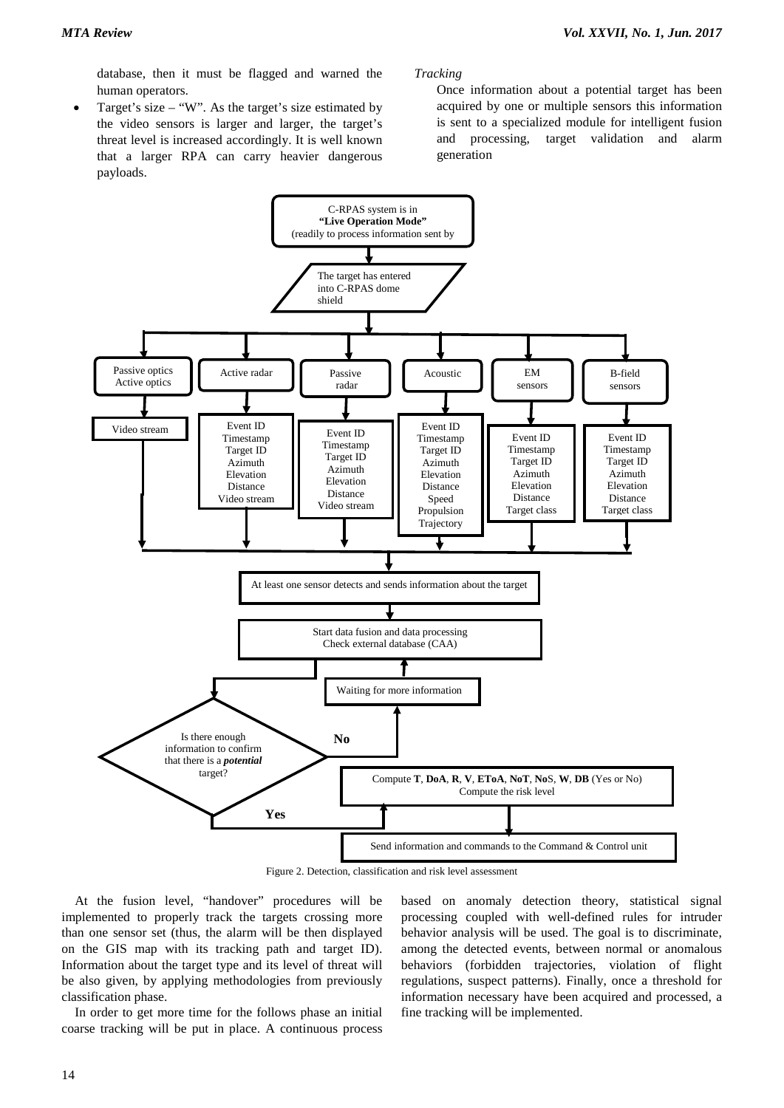database, then it must be flagged and warned the human operators.

Target's size – "W". As the target's size estimated by the video sensors is larger and larger, the target's threat level is increased accordingly. It is well known that a larger RPA can carry heavier dangerous payloads.

*Tracking*

Once information about a potential target has been acquired by one or multiple sensors this information is sent to a specialized module for intelligent fusion and processing, target validation and alarm generation



Figure 2. Detection, classification and risk level assessment

At the fusion level, "handover" procedures will be implemented to properly track the targets crossing more than one sensor set (thus, the alarm will be then displayed on the GIS map with its tracking path and target ID). Information about the target type and its level of threat will be also given, by applying methodologies from previously classification phase.

In order to get more time for the follows phase an initial coarse tracking will be put in place. A continuous process

based on anomaly detection theory, statistical signal processing coupled with well-defined rules for intruder behavior analysis will be used. The goal is to discriminate, among the detected events, between normal or anomalous behaviors (forbidden trajectories, violation of flight regulations, suspect patterns). Finally, once a threshold for information necessary have been acquired and processed, a fine tracking will be implemented.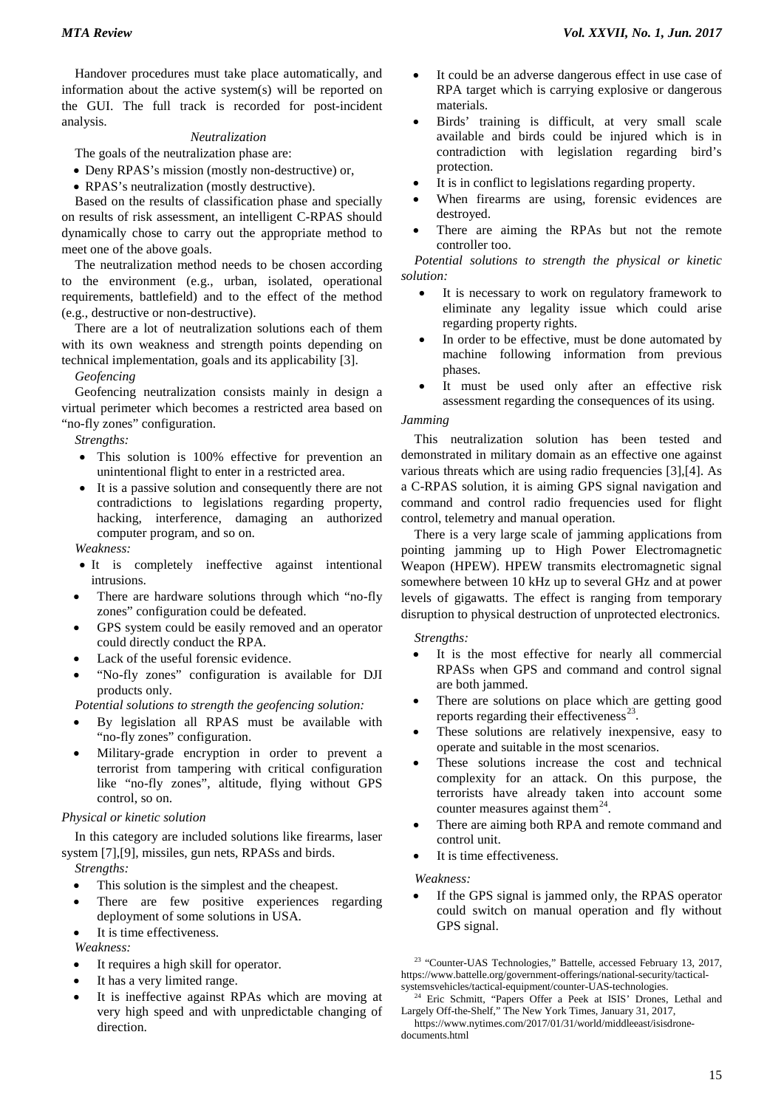Handover procedures must take place automatically, and information about the active system(s) will be reported on the GUI. The full track is recorded for post-incident analysis.

## *Neutralization*

The goals of the neutralization phase are:

- Deny RPAS's mission (mostly non-destructive) or,
- RPAS's neutralization (mostly destructive).

Based on the results of classification phase and specially on results of risk assessment, an intelligent C-RPAS should dynamically chose to carry out the appropriate method to meet one of the above goals.

The neutralization method needs to be chosen according to the environment (e.g., urban, isolated, operational requirements, battlefield) and to the effect of the method (e.g., destructive or non-destructive).

There are a lot of neutralization solutions each of them with its own weakness and strength points depending on technical implementation, goals and its applicability [3].

*Geofencing*

Geofencing neutralization consists mainly in design a virtual perimeter which becomes a restricted area based on "no-fly zones" configuration.

*Strengths:*

- This solution is 100% effective for prevention an unintentional flight to enter in a restricted area.
- It is a passive solution and consequently there are not contradictions to legislations regarding property, hacking, interference, damaging an authorized computer program, and so on.

*Weakness:*

- It is completely ineffective against intentional intrusions.
- There are hardware solutions through which "no-fly zones" configuration could be defeated.
- GPS system could be easily removed and an operator could directly conduct the RPA.
- Lack of the useful forensic evidence.
- "No-fly zones" configuration is available for DJI products only.

*Potential solutions to strength the geofencing solution:*

- By legislation all RPAS must be available with "no-fly zones" configuration.
- Military-grade encryption in order to prevent a terrorist from tampering with critical configuration like "no-fly zones", altitude, flying without GPS control, so on.

## *Physical or kinetic solution*

In this category are included solutions like firearms, laser system [7],[9], missiles, gun nets, RPASs and birds. *Strengths:*

- This solution is the simplest and the cheapest.
- There are few positive experiences regarding deployment of some solutions in USA.
- It is time effectiveness.

*Weakness:*

- <span id="page-6-0"></span>It requires a high skill for operator.
- It has a very limited range.
- <span id="page-6-1"></span>It is ineffective against RPAs which are moving at very high speed and with unpredictable changing of direction.
- It could be an adverse dangerous effect in use case of RPA target which is carrying explosive or dangerous materials.
- Birds' training is difficult, at very small scale available and birds could be injured which is in contradiction with legislation regarding bird's protection.
- It is in conflict to legislations regarding property.
- When firearms are using, forensic evidences are destroyed.
- There are aiming the RPAs but not the remote controller too.

*Potential solutions to strength the physical or kinetic solution:*

- It is necessary to work on regulatory framework to eliminate any legality issue which could arise regarding property rights.
- In order to be effective, must be done automated by machine following information from previous phases.
- It must be used only after an effective risk assessment regarding the consequences of its using.

#### *Jamming*

This neutralization solution has been tested and demonstrated in military domain as an effective one against various threats which are using radio frequencies [3],[4]. As a C-RPAS solution, it is aiming GPS signal navigation and command and control radio frequencies used for flight control, telemetry and manual operation.

There is a very large scale of jamming applications from pointing jamming up to High Power Electromagnetic Weapon (HPEW). HPEW transmits electromagnetic signal somewhere between 10 kHz up to several GHz and at power levels of gigawatts. The effect is ranging from temporary disruption to physical destruction of unprotected electronics.

#### *Strengths:*

- It is the most effective for nearly all commercial RPASs when GPS and command and control signal are both jammed.
- There are solutions on place which are getting good reports regarding their effectiveness $^{23}$ .
- These solutions are relatively inexpensive, easy to operate and suitable in the most scenarios.
- These solutions increase the cost and technical complexity for an attack. On this purpose, the terrorists have already taken into account some counter measures against them<sup>24</sup>.
- There are aiming both RPA and remote command and control unit.
- It is time effectiveness.

*Weakness:*

If the GPS signal is jammed only, the RPAS operator could switch on manual operation and fly without GPS signal.

<sup>23</sup> "Counter-UAS Technologies," Battelle, accessed February 13, 2017, [https://www.battelle.org/government-offerings/national-security/tactical](https://www.battelle.org/government-offerings/national-security/tactical-systemsvehicles/tactical-equipment/counter-UAS-technologies)[systemsvehicles/tactical-equipment/counter-UAS-technologies.](https://www.battelle.org/government-offerings/national-security/tactical-systemsvehicles/tactical-equipment/counter-UAS-technologies)

<sup>&</sup>lt;sup>24</sup> Eric Schmitt, "Papers Offer a Peek at ISIS' Drones, Lethal and Largely Off-the-Shelf," The New York Times, January 31, 2017,

[https://www.nytimes.com/2017/01/31/world/middleeast/isisdrone](https://www.nytimes.com/2017/01/31/world/middleeast/isisdrone-documents.html)[documents.html](https://www.nytimes.com/2017/01/31/world/middleeast/isisdrone-documents.html)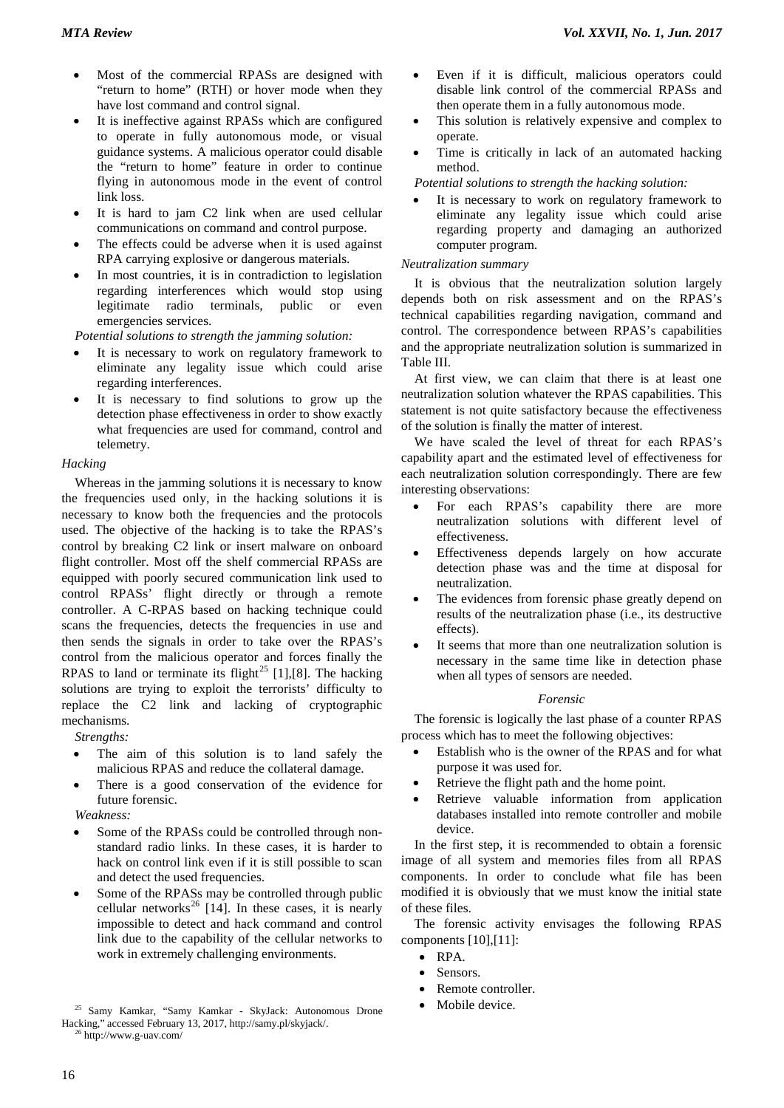- Most of the commercial RPASs are designed with "return to home" (RTH) or hover mode when they have lost command and control signal.
- It is ineffective against RPASs which are configured to operate in fully autonomous mode, or visual guidance systems. A malicious operator could disable the "return to home" feature in order to continue flying in autonomous mode in the event of control link loss.
- It is hard to jam C2 link when are used cellular communications on command and control purpose.
- The effects could be adverse when it is used against RPA carrying explosive or dangerous materials.
- In most countries, it is in contradiction to legislation regarding interferences which would stop using legitimate radio terminals, public or even emergencies services.

*Potential solutions to strength the jamming solution:*

- It is necessary to work on regulatory framework to eliminate any legality issue which could arise regarding interferences.
- It is necessary to find solutions to grow up the detection phase effectiveness in order to show exactly what frequencies are used for command, control and telemetry.

## *Hacking*

Whereas in the jamming solutions it is necessary to know the frequencies used only, in the hacking solutions it is necessary to know both the frequencies and the protocols used. The objective of the hacking is to take the RPAS's control by breaking C2 link or insert malware on onboard flight controller. Most off the shelf commercial RPASs are equipped with poorly secured communication link used to control RPASs' flight directly or through a remote controller. A C-RPAS based on hacking technique could scans the frequencies, detects the frequencies in use and then sends the signals in order to take over the RPAS's control from the malicious operator and forces finally the RPAS to land or terminate its flight<sup>[25](#page-7-0)</sup> [1],[8]. The hacking solutions are trying to exploit the terrorists' difficulty to replace the C2 link and lacking of cryptographic mechanisms.

*Strengths:*

- The aim of this solution is to land safely the malicious RPAS and reduce the collateral damage.
- There is a good conservation of the evidence for future forensic.

*Weakness:*

- Some of the RPASs could be controlled through nonstandard radio links. In these cases, it is harder to hack on control link even if it is still possible to scan and detect the used frequencies.
- Some of the RPASs may be controlled through public cellular networks<sup>[26](#page-7-1)</sup> [14]. In these cases, it is nearly impossible to detect and hack command and control link due to the capability of the cellular networks to work in extremely challenging environments.
- Even if it is difficult, malicious operators could disable link control of the commercial RPASs and then operate them in a fully autonomous mode.
- This solution is relatively expensive and complex to operate.
- Time is critically in lack of an automated hacking method.

*Potential solutions to strength the hacking solution:*

It is necessary to work on regulatory framework to eliminate any legality issue which could arise regarding property and damaging an authorized computer program.

## *Neutralization summary*

It is obvious that the neutralization solution largely depends both on risk assessment and on the RPAS's technical capabilities regarding navigation, command and control. The correspondence between RPAS's capabilities and the appropriate neutralization solution is summarized in Table III.

At first view, we can claim that there is at least one neutralization solution whatever the RPAS capabilities. This statement is not quite satisfactory because the effectiveness of the solution is finally the matter of interest.

We have scaled the level of threat for each RPAS's capability apart and the estimated level of effectiveness for each neutralization solution correspondingly. There are few interesting observations:

- For each RPAS's capability there are more neutralization solutions with different level of effectiveness.
- Effectiveness depends largely on how accurate detection phase was and the time at disposal for neutralization.
- The evidences from forensic phase greatly depend on results of the neutralization phase (i.e., its destructive effects).
- It seems that more than one neutralization solution is necessary in the same time like in detection phase when all types of sensors are needed.

## *Forensic*

The forensic is logically the last phase of a counter RPAS process which has to meet the following objectives:

- Establish who is the owner of the RPAS and for what purpose it was used for.
- Retrieve the flight path and the home point.
- Retrieve valuable information from application databases installed into remote controller and mobile device.

In the first step, it is recommended to obtain a forensic image of all system and memories files from all RPAS components. In order to conclude what file has been modified it is obviously that we must know the initial state of these files.

The forensic activity envisages the following RPAS components [10],[11]:

- RPA.
- Sensors.
- Remote controller.
- Mobile device.

<span id="page-7-1"></span><span id="page-7-0"></span><sup>25</sup> Samy Kamkar, "Samy Kamkar - SkyJack: Autonomous Drone Hacking," accessed February 13, 2017, http://samy.pl/skyjack/.  $6$  http://www.g-uav.com/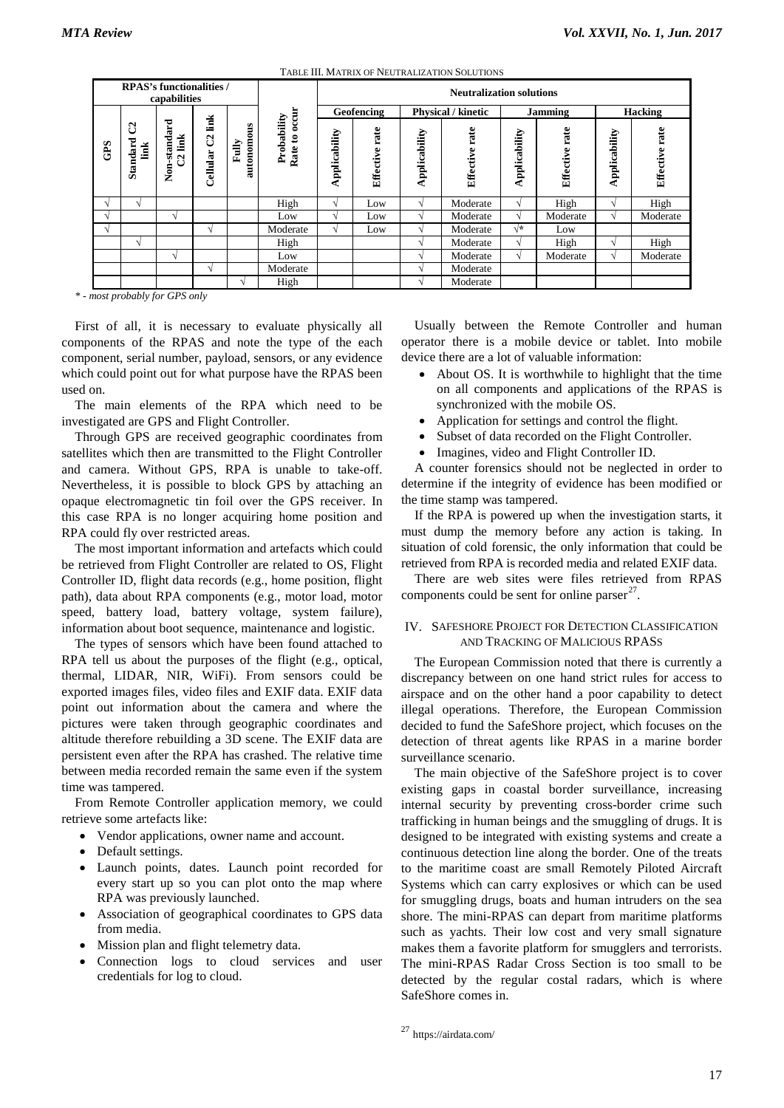|                                                 | TABLE III. MATRIX OF NEUTRALIZATION SOLUTIONS |                                         |                        |                       |                              |                                 |                   |                           |                   |               |                   |                |                   |  |
|-------------------------------------------------|-----------------------------------------------|-----------------------------------------|------------------------|-----------------------|------------------------------|---------------------------------|-------------------|---------------------------|-------------------|---------------|-------------------|----------------|-------------------|--|
| <b>RPAS's functionalities /</b><br>capabilities |                                               |                                         |                        |                       |                              | <b>Neutralization solutions</b> |                   |                           |                   |               |                   |                |                   |  |
|                                                 |                                               |                                         |                        |                       | Rate to occur<br>Probability | Geofencing                      |                   | <b>Physical / kinetic</b> |                   | Jamming       |                   | <b>Hacking</b> |                   |  |
| GPS                                             | ප<br><b>Standard</b><br>link                  | Non-standard<br>link<br>$\mathcal{C}^2$ | link<br>පි<br>Cellular | £<br>autonom<br>Fully |                              | Applicability                   | rate<br>Effective | Applicability             | rate<br>Effective | Applicability | rate<br>Effective | Applicability  | rate<br>Effective |  |
|                                                 | N                                             |                                         |                        |                       | High                         | V                               | Low               |                           | Moderate          | V             | High              | V              | High              |  |
| $\sim$                                          |                                               | N                                       |                        |                       | Low                          | M                               | Low               |                           | Moderate          | N             | Moderate          | N              | Moderate          |  |
| $\sqrt{ }$                                      |                                               |                                         | $\mathcal{N}$          |                       | Moderate                     | V                               | Low               | اد                        | Moderate          | $\sqrt{*}$    | Low               |                |                   |  |
|                                                 | $\sim$                                        |                                         |                        |                       | High                         |                                 |                   |                           | Moderate          | N             | High              | $\sim$         | High              |  |
|                                                 |                                               | N                                       |                        |                       | Low                          |                                 |                   |                           | Moderate          | V             | Moderate          | V              | Moderate          |  |
|                                                 |                                               |                                         | N                      |                       | Moderate                     |                                 |                   |                           | Moderate          |               |                   |                |                   |  |
|                                                 |                                               |                                         |                        |                       | High                         |                                 |                   |                           | Moderate          |               |                   |                |                   |  |
|                                                 |                                               | ost probably for GPS only               |                        |                       |                              |                                 |                   |                           |                   |               |                   |                |                   |  |

*\* - most probably for GPS only* 

First of all, it is necessary to evaluate physically all components of the RPAS and note the type of the each component, serial number, payload, sensors, or any evidence which could point out for what purpose have the RPAS been used on.

The main elements of the RPA which need to be investigated are GPS and Flight Controller.

Through GPS are received geographic coordinates from satellites which then are transmitted to the Flight Controller and camera. Without GPS, RPA is unable to take-off. Nevertheless, it is possible to block GPS by attaching an opaque electromagnetic tin foil over the GPS receiver. In this case RPA is no longer acquiring home position and RPA could fly over restricted areas.

The most important information and artefacts which could be retrieved from Flight Controller are related to OS, Flight Controller ID, flight data records (e.g., home position, flight path), data about RPA components (e.g., motor load, motor speed, battery load, battery voltage, system failure), information about boot sequence, maintenance and logistic.

The types of sensors which have been found attached to RPA tell us about the purposes of the flight (e.g., optical, thermal, LIDAR, NIR, WiFi). From sensors could be exported images files, video files and EXIF data. EXIF data point out information about the camera and where the pictures were taken through geographic coordinates and altitude therefore rebuilding a 3D scene. The EXIF data are persistent even after the RPA has crashed. The relative time between media recorded remain the same even if the system time was tampered.

From Remote Controller application memory, we could retrieve some artefacts like:

- Vendor applications, owner name and account.
- Default settings.
- Launch points, dates. Launch point recorded for every start up so you can plot onto the map where RPA was previously launched.
- Association of geographical coordinates to GPS data from media.
- Mission plan and flight telemetry data.
- <span id="page-8-0"></span>Connection logs to cloud services and user credentials for log to cloud.

Usually between the Remote Controller and human operator there is a mobile device or tablet. Into mobile device there are a lot of valuable information:

- About OS. It is worthwhile to highlight that the time on all components and applications of the RPAS is synchronized with the mobile OS.
- Application for settings and control the flight.
- Subset of data recorded on the Flight Controller.
- Imagines, video and Flight Controller ID.

A counter forensics should not be neglected in order to determine if the integrity of evidence has been modified or the time stamp was tampered.

If the RPA is powered up when the investigation starts, it must dump the memory before any action is taking. In situation of cold forensic, the only information that could be retrieved from RPA is recorded media and related EXIF data.

There are web sites were files retrieved from RPAS components could be sent for online parser<sup>27</sup>.

#### IV. SAFESHORE PROJECT FOR DETECTION CLASSIFICATION AND TRACKING OF MALICIOUS RPASS

The European Commission noted that there is currently a discrepancy between on one hand strict rules for access to airspace and on the other hand a poor capability to detect illegal operations. Therefore, the European Commission decided to fund the SafeShore project, which focuses on the detection of threat agents like RPAS in a marine border surveillance scenario.

The main objective of the SafeShore project is to cover existing gaps in coastal border surveillance, increasing internal security by preventing cross-border crime such trafficking in human beings and the smuggling of drugs. It is designed to be integrated with existing systems and create a continuous detection line along the border. One of the treats to the maritime coast are small Remotely Piloted Aircraft Systems which can carry explosives or which can be used for smuggling drugs, boats and human intruders on the sea shore. The mini-RPAS can depart from maritime platforms such as yachts. Their low cost and very small signature makes them a favorite platform for smugglers and terrorists. The mini-RPAS Radar Cross Section is too small to be detected by the regular costal radars, which is where SafeShore comes in.

<sup>27</sup> https://airdata.com/